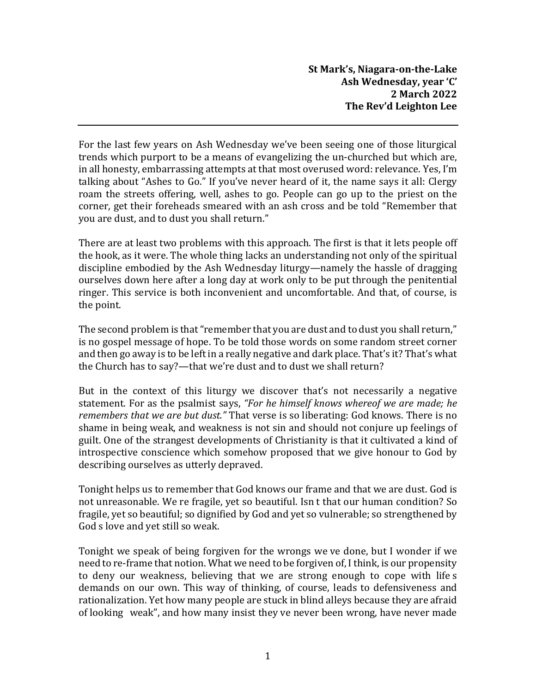**St Mark's, Niagara-on-the-Lake Ash Wednesday, year 'C' 2 March 2022 The Rev'd Leighton Lee**

For the last few years on Ash Wednesday we've been seeing one of those liturgical trends which purport to be a means of evangelizing the un-churched but which are, in all honesty, embarrassing attempts at that most overused word: relevance. Yes, I'm talking about "Ashes to Go." If you've never heard of it, the name says it all: Clergy roam the streets offering, well, ashes to go. People can go up to the priest on the corner, get their foreheads smeared with an ash cross and be told "Remember that you are dust, and to dust you shall return."

There are at least two problems with this approach. The first is that it lets people off the hook, as it were. The whole thing lacks an understanding not only of the spiritual discipline embodied by the Ash Wednesday liturgy—namely the hassle of dragging ourselves down here after a long day at work only to be put through the penitential ringer. This service is both inconvenient and uncomfortable. And that, of course, is the point.

The second problem is that "remember that you are dust and to dust you shall return," is no gospel message of hope. To be told those words on some random street corner and then go away is to be left in a really negative and dark place. That's it? That's what the Church has to say?—that we're dust and to dust we shall return?

But in the context of this liturgy we discover that's not necessarily a negative statement. For as the psalmist says, *"For he himself knows whereof we are made; he remembers that we are but dust."* That verse is so liberating: God knows. There is no shame in being weak, and weakness is not sin and should not conjure up feelings of guilt. One of the strangest developments of Christianity is that it cultivated a kind of introspective conscience which somehow proposed that we give honour to God by describing ourselves as utterly depraved.

Tonight helps us to remember that God knows our frame and that we are dust. God is not unreasonable. We re fragile, yet so beautiful. Isn t that our human condition? So fragile, yet so beautiful; so dignified by God and yet so vulnerable; so strengthened by God s love and yet still so weak.

Tonight we speak of being forgiven for the wrongs we ve done, but I wonder if we need to re-frame that notion. What we need to be forgiven of, I think, is our propensity to deny our weakness, believing that we are strong enough to cope with life s demands on our own. This way of thinking, of course, leads to defensiveness and rationalization. Yet how many people are stuck in blind alleys because they are afraid of looking weak", and how many insist they ve never been wrong, have never made